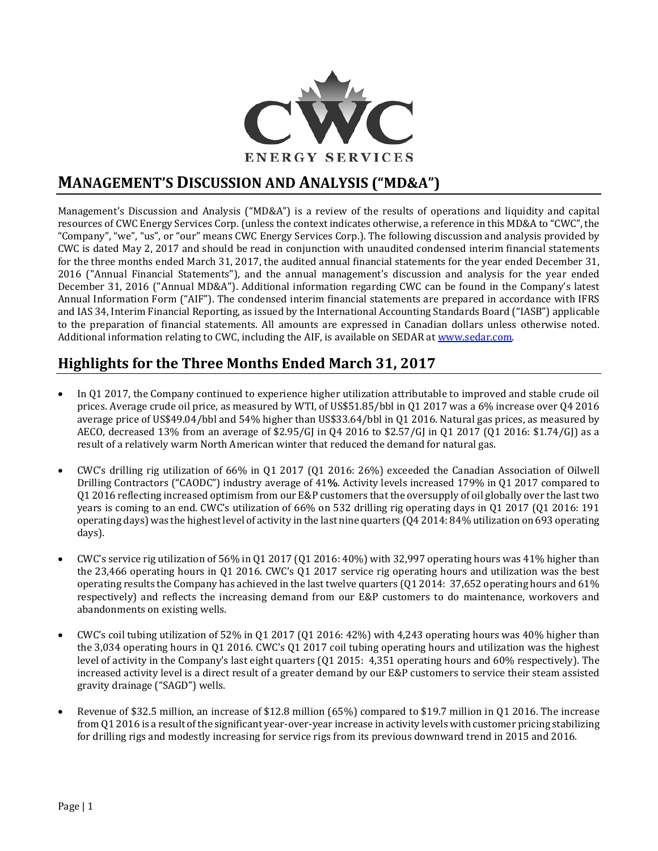

## **MANAGEMENT'S DISCUSSION AND ANALYSIS ("MD&A")**

Management's Discussion and Analysis ("MD&A") is a review of the results of operations and liquidity and capital resources of CWC Energy Services Corp. (unless the context indicates otherwise, a reference in this MD&A to "CWC", the "Company", "we", "us", or "our" means CWC Energy Services Corp.). The following discussion and analysis provided by CWC is dated May 2, 2017 and should be read in conjunction with unaudited condensed interim financial statements for the three months ended March 31, 2017, the audited annual financial statements for the year ended December 31, 2016 ("Annual Financial Statements"), and the annual management's discussion and analysis for the year ended December 31, 2016 ("Annual MD&A"). Additional information regarding CWC can be found in the Company's latest Annual Information Form ("AIF"). The condensed interim financial statements are prepared in accordance with IFRS and IAS 34, Interim Financial Reporting, as issued by the International Accounting Standards Board ("IASB") applicable to the preparation of financial statements. All amounts are expressed in Canadian dollars unless otherwise noted. Additional information relating to CWC, including the AIF, is available on SEDAR a[t www.sedar.com.](http://www.sedar.com/)

# **Highlights for the Three Months Ended March 31, 2017**

- In Q1 2017, the Company continued to experience higher utilization attributable to improved and stable crude oil prices. Average crude oil price, as measured by WTI, of US\$51.85/bbl in Q1 2017 was a 6% increase over Q4 2016 average price of US\$49.04/bbl and 54% higher than US\$33.64/bbl in Q1 2016. Natural gas prices, as measured by AECO, decreased 13% from an average of \$2.95/GJ in Q4 2016 to \$2.57/GJ in Q1 2017 (Q1 2016: \$1.74/GJ) as a result of a relatively warm North American winter that reduced the demand for natural gas.
- CWC's drilling rig utilization of 66% in Q1 2017 (Q1 2016: 26%) exceeded the Canadian Association of Oilwell Drilling Contractors ("CAODC") industry average of 41**%**. Activity levels increased 179% in Q1 2017 compared to Q1 2016 reflecting increased optimism from our E&P customers that the oversupply of oil globally over the last two years is coming to an end. CWC's utilization of 66% on 532 drilling rig operating days in Q1 2017 (Q1 2016: 191 operating days) was the highest level of activity in the last nine quarters (Q4 2014: 84% utilization on 693 operating days).
- CWC's service rig utilization of 56% in Q1 2017 (Q1 2016: 40%) with 32,997 operating hours was 41% higher than the 23,466 operating hours in Q1 2016. CWC's Q1 2017 service rig operating hours and utilization was the best operating results the Company has achieved in the last twelve quarters (Q1 2014: 37,652 operating hours and 61% respectively) and reflects the increasing demand from our E&P customers to do maintenance, workovers and abandonments on existing wells.
- CWC's coil tubing utilization of  $52\%$  in 01 2017 (01 2016: 42%) with 4,243 operating hours was 40% higher than the 3,034 operating hours in Q1 2016. CWC's Q1 2017 coil tubing operating hours and utilization was the highest level of activity in the Company's last eight quarters (Q1 2015: 4,351 operating hours and 60% respectively). The increased activity level is a direct result of a greater demand by our E&P customers to service their steam assisted gravity drainage ("SAGD") wells.
- Revenue of \$32.5 million, an increase of \$12.8 million (65%) compared to \$19.7 million in Q1 2016. The increase from Q1 2016 is a result of the significant year-over-year increase in activity levels with customer pricing stabilizing for drilling rigs and modestly increasing for service rigs from its previous downward trend in 2015 and 2016.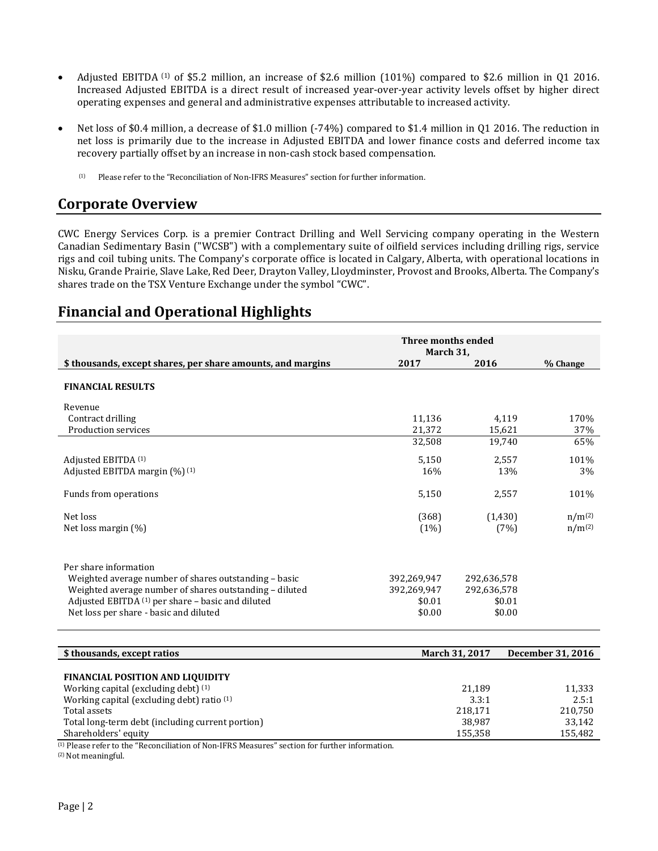- Adjusted EBITDA <sup>(1)</sup> of \$5.2 million, an increase of \$2.6 million (101%) compared to \$2.6 million in Q1 2016. Increased Adjusted EBITDA is a direct result of increased year-over-year activity levels offset by higher direct operating expenses and general and administrative expenses attributable to increased activity.
- Net loss of \$0.4 million, a decrease of \$1.0 million (-74%) compared to \$1.4 million in Q1 2016. The reduction in net loss is primarily due to the increase in Adjusted EBITDA and lower finance costs and deferred income tax recovery partially offset by an increase in non-cash stock based compensation.
	- (1) Please refer to the "Reconciliation of Non-IFRS Measures" section for further information.

### **Corporate Overview**

CWC Energy Services Corp. is a premier Contract Drilling and Well Servicing company operating in the Western Canadian Sedimentary Basin ("WCSB") with a complementary suite of oilfield services including drilling rigs, service rigs and coil tubing units. The Company's corporate office is located in Calgary, Alberta, with operational locations in Nisku, Grande Prairie, Slave Lake, Red Deer, Drayton Valley, Lloydminster, Provost and Brooks, Alberta. The Company's shares trade on the TSX Venture Exchange under the symbol "CWC".

|                                                                                                                                                                                                                                          | <b>Three months ended</b>                      |                                                |                   |  |  |
|------------------------------------------------------------------------------------------------------------------------------------------------------------------------------------------------------------------------------------------|------------------------------------------------|------------------------------------------------|-------------------|--|--|
|                                                                                                                                                                                                                                          | March 31,                                      |                                                |                   |  |  |
| \$ thousands, except shares, per share amounts, and margins                                                                                                                                                                              | 2017                                           | 2016                                           | % Change          |  |  |
| <b>FINANCIAL RESULTS</b>                                                                                                                                                                                                                 |                                                |                                                |                   |  |  |
| Revenue                                                                                                                                                                                                                                  |                                                |                                                |                   |  |  |
| Contract drilling                                                                                                                                                                                                                        | 11,136                                         | 4,119                                          | 170%              |  |  |
| Production services                                                                                                                                                                                                                      | 21,372                                         | 15,621                                         | 37%               |  |  |
|                                                                                                                                                                                                                                          | 32,508                                         | 19,740                                         | 65%               |  |  |
| Adjusted EBITDA (1)                                                                                                                                                                                                                      | 5,150                                          | 2,557                                          | 101%              |  |  |
| Adjusted EBITDA margin (%) <sup>(1)</sup>                                                                                                                                                                                                | 16%                                            |                                                | 13%<br>3%         |  |  |
| Funds from operations                                                                                                                                                                                                                    | 5,150                                          | 2,557                                          | 101%              |  |  |
| Net loss                                                                                                                                                                                                                                 | (368)                                          | (1,430)                                        | $n/m^{(2)}$       |  |  |
| Net loss margin (%)                                                                                                                                                                                                                      | (1%)                                           | (7%)                                           | $n/m^{(2)}$       |  |  |
| Per share information<br>Weighted average number of shares outstanding - basic<br>Weighted average number of shares outstanding - diluted<br>Adjusted EBITDA (1) per share - basic and diluted<br>Net loss per share - basic and diluted | 392,269,947<br>392,269,947<br>\$0.01<br>\$0.00 | 292,636,578<br>292,636,578<br>\$0.01<br>\$0.00 |                   |  |  |
|                                                                                                                                                                                                                                          |                                                |                                                |                   |  |  |
| \$ thousands, except ratios                                                                                                                                                                                                              |                                                | March 31, 2017                                 | December 31, 2016 |  |  |
| FINANCIAL POSITION AND LIQUIDITY                                                                                                                                                                                                         |                                                |                                                |                   |  |  |
| Working capital (excluding debt) (1)                                                                                                                                                                                                     |                                                | 21,189                                         | 11,333            |  |  |
| Working capital (excluding debt) ratio (1)                                                                                                                                                                                               |                                                | 3.3:1                                          | 2.5:1             |  |  |
| Total assets                                                                                                                                                                                                                             |                                                | 218,171                                        | 210,750           |  |  |
| Total long-term debt (including current portion)                                                                                                                                                                                         |                                                | 38,987                                         | 33,142            |  |  |
| Shareholders' equity<br>(1) please refer to the "Peconciliation of Nep IERS Measures" section for further information                                                                                                                    |                                                | 155,358                                        | 155,482           |  |  |

### **Financial and Operational Highlights**

(1) Please refer to the "Reconciliation of Non-IFRS Measures" section for further information.

(2) Not meaningful.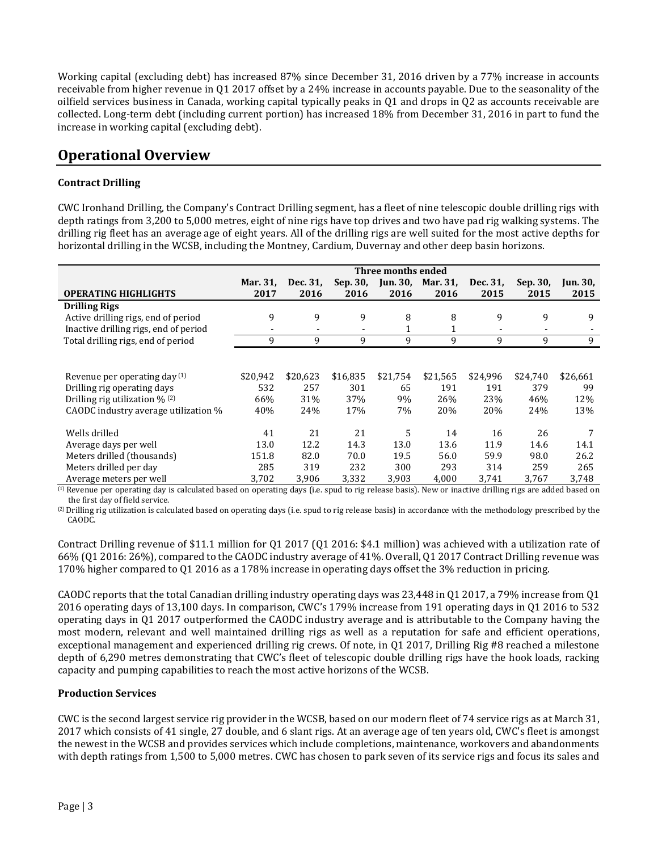Working capital (excluding debt) has increased 87% since December 31, 2016 driven by a 77% increase in accounts receivable from higher revenue in Q1 2017 offset by a 24% increase in accounts payable. Due to the seasonality of the oilfield services business in Canada, working capital typically peaks in Q1 and drops in Q2 as accounts receivable are collected. Long-term debt (including current portion) has increased 18% from December 31, 2016 in part to fund the increase in working capital (excluding debt).

# **Operational Overview**

#### **Contract Drilling**

CWC Ironhand Drilling, the Company's Contract Drilling segment, has a fleet of nine telescopic double drilling rigs with depth ratings from 3,200 to 5,000 metres, eight of nine rigs have top drives and two have pad rig walking systems. The drilling rig fleet has an average age of eight years. All of the drilling rigs are well suited for the most active depths for horizontal drilling in the WCSB, including the Montney, Cardium, Duvernay and other deep basin horizons.

|                                              | Three months ended |          |          |                 |          |          |          |                 |
|----------------------------------------------|--------------------|----------|----------|-----------------|----------|----------|----------|-----------------|
|                                              | Mar. 31,           | Dec. 31, | Sep. 30, | <b>Jun. 30,</b> | Mar. 31, | Dec. 31, | Sep. 30, | <b>Jun. 30,</b> |
| <b>OPERATING HIGHLIGHTS</b>                  | 2017               | 2016     | 2016     | 2016            | 2016     | 2015     | 2015     | 2015            |
| <b>Drilling Rigs</b>                         |                    |          |          |                 |          |          |          |                 |
| Active drilling rigs, end of period          | 9                  | 9        | 9        | 8               | 8        | 9        | 9        | 9               |
| Inactive drilling rigs, end of period        |                    |          |          | $\mathbf{1}$    | 1        |          |          |                 |
| Total drilling rigs, end of period           | 9                  | 9        | 9        | 9               | 9        | 9        | 9        | 9               |
|                                              |                    |          |          |                 |          |          |          |                 |
| Revenue per operating day (1)                | \$20,942           | \$20,623 | \$16,835 | \$21,754        | \$21,565 | \$24,996 | \$24,740 | \$26,661        |
| Drilling rig operating days                  | 532                | 257      | 301      | 65              | 191      | 191      | 379      | 99              |
| Drilling rig utilization $\%$ <sup>(2)</sup> | 66%                | 31%      | 37%      | 9%              | 26%      | 23%      | 46%      | 12%             |
| CAODC industry average utilization %         | 40%                | 24%      | 17%      | 7%              | 20%      | 20%      | 24%      | 13%             |
| Wells drilled                                | 41                 | 21       | 21       | 5               | 14       | 16       | 26       |                 |
| Average days per well                        | 13.0               | 12.2     | 14.3     | 13.0            | 13.6     | 11.9     | 14.6     | 14.1            |
| Meters drilled (thousands)                   | 151.8              | 82.0     | 70.0     | 19.5            | 56.0     | 59.9     | 98.0     | 26.2            |
| Meters drilled per day                       | 285                | 319      | 232      | 300             | 293      | 314      | 259      | 265             |
| Average meters per well                      | 3,702              | 3,906    | 3,332    | 3,903           | 4.000    | 3,741    | 3,767    | 3,748           |

 $^{(1)}$  Revenue per operating day is calculated based on operating days (i.e. spud to rig release basis). New or inactive drilling rigs are added based on the first day of field service.

(2)Drilling rig utilization is calculated based on operating days (i.e. spud to rig release basis) in accordance with the methodology prescribed by the CAODC.

Contract Drilling revenue of \$11.1 million for Q1 2017 (Q1 2016: \$4.1 million) was achieved with a utilization rate of 66% (Q1 2016: 26%), compared to the CAODC industry average of 41%. Overall, Q1 2017 Contract Drilling revenue was 170% higher compared to Q1 2016 as a 178% increase in operating days offset the 3% reduction in pricing.

CAODC reports that the total Canadian drilling industry operating days was 23,448 in Q1 2017, a 79% increase from Q1 2016 operating days of 13,100 days. In comparison, CWC's 179% increase from 191 operating days in Q1 2016 to 532 operating days in Q1 2017 outperformed the CAODC industry average and is attributable to the Company having the most modern, relevant and well maintained drilling rigs as well as a reputation for safe and efficient operations, exceptional management and experienced drilling rig crews. Of note, in Q1 2017, Drilling Rig #8 reached a milestone depth of 6,290 metres demonstrating that CWC's fleet of telescopic double drilling rigs have the hook loads, racking capacity and pumping capabilities to reach the most active horizons of the WCSB.

#### **Production Services**

CWC is the second largest service rig provider in the WCSB, based on our modern fleet of 74 service rigs as at March 31, 2017 which consists of 41 single, 27 double, and 6 slant rigs. At an average age of ten years old, CWC's fleet is amongst the newest in the WCSB and provides services which include completions, maintenance, workovers and abandonments with depth ratings from 1,500 to 5,000 metres. CWC has chosen to park seven of its service rigs and focus its sales and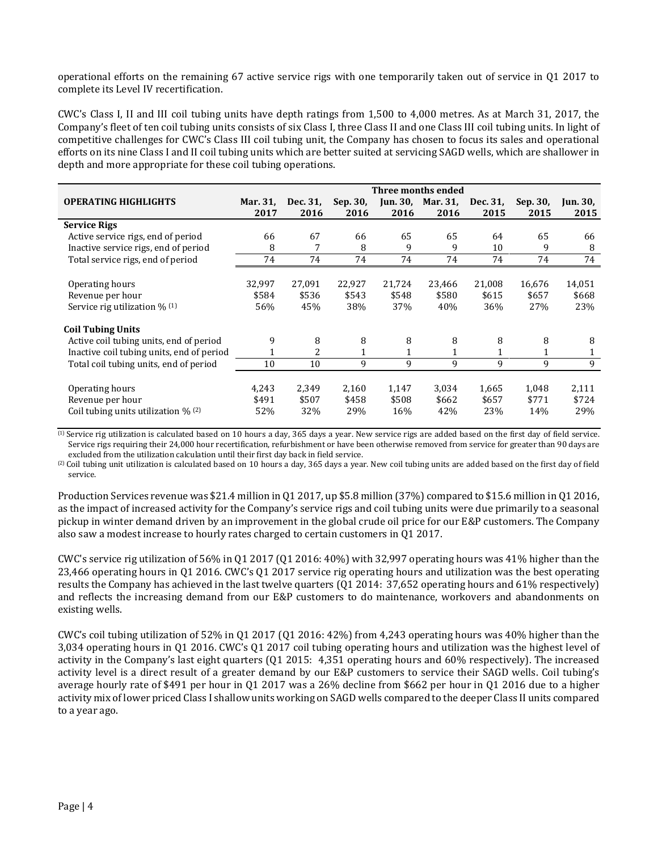operational efforts on the remaining 67 active service rigs with one temporarily taken out of service in Q1 2017 to complete its Level IV recertification.

CWC's Class I, II and III coil tubing units have depth ratings from 1,500 to 4,000 metres. As at March 31, 2017, the Company's fleet of ten coil tubing units consists of six Class I, three Class II and one Class III coil tubing units. In light of competitive challenges for CWC's Class III coil tubing unit, the Company has chosen to focus its sales and operational efforts on its nine Class I and II coil tubing units which are better suited at servicing SAGD wells, which are shallower in depth and more appropriate for these coil tubing operations.

|                                             | Three months ended |          |              |        |                   |              |          |          |
|---------------------------------------------|--------------------|----------|--------------|--------|-------------------|--------------|----------|----------|
| <b>OPERATING HIGHLIGHTS</b>                 | Mar. 31,           | Dec. 31, | Sep. 30,     |        | Jun. 30, Mar. 31, | Dec. 31,     | Sep. 30, | Jun. 30, |
|                                             | 2017               | 2016     | 2016         | 2016   | 2016              | 2015         | 2015     | 2015     |
| <b>Service Rigs</b>                         |                    |          |              |        |                   |              |          |          |
| Active service rigs, end of period          | 66                 | 67       | 66           | 65     | 65                | 64           | 65       | 66       |
| Inactive service rigs, end of period        | 8                  | 7        | 8            | 9      | 9                 | 10           | 9        | 8        |
| Total service rigs, end of period           | 74                 | 74       | 74           | 74     | 74                | 74           | 74       | 74       |
|                                             |                    |          |              |        |                   |              |          |          |
| Operating hours                             | 32,997             | 27,091   | 22,927       | 21,724 | 23,466            | 21,008       | 16,676   | 14,051   |
| Revenue per hour                            | \$584              | \$536    | \$543        | \$548  | \$580             | \$615        | \$657    | \$668    |
| Service rig utilization $\%$ <sup>(1)</sup> | 56%                | 45%      | 38%          | 37%    | 40%               | 36%          | 27%      | 23%      |
| <b>Coil Tubing Units</b>                    |                    |          |              |        |                   |              |          |          |
| Active coil tubing units, end of period     | 9                  | 8        | 8            | 8      | 8                 | 8            | 8        | 8        |
| Inactive coil tubing units, end of period   |                    | 2        | $\mathbf{1}$ | 1      | $\mathbf{1}$      | $\mathbf{1}$ |          |          |
| Total coil tubing units, end of period      | 10                 | 10       | 9            | 9      | 9                 | 9            | 9        | 9        |
|                                             |                    |          |              |        |                   |              |          |          |
| Operating hours                             | 4,243              | 2,349    | 2,160        | 1,147  | 3,034             | 1,665        | 1.048    | 2,111    |
| Revenue per hour                            | \$491              | \$507    | \$458        | \$508  | \$662             | \$657        | \$771    | \$724    |
| Coil tubing units utilization $\%$ (2)      | 52%                | 32%      | 29%          | 16%    | 42%               | 23%          | 14%      | 29%      |

 $^{(1)}$  Service rig utilization is calculated based on 10 hours a day, 365 days a year. New service rigs are added based on the first day of field service. Service rigs requiring their 24,000 hour recertification, refurbishment or have been otherwise removed from service for greater than 90 days are excluded from the utilization calculation until their first day back in field service.

(2) Coil tubing unit utilization is calculated based on 10 hours a day, 365 days a year. New coil tubing units are added based on the first day of field service.

Production Services revenue was \$21.4 million in Q1 2017, up \$5.8 million (37%) compared to \$15.6 million in Q1 2016, as the impact of increased activity for the Company's service rigs and coil tubing units were due primarily to a seasonal pickup in winter demand driven by an improvement in the global crude oil price for our E&P customers. The Company also saw a modest increase to hourly rates charged to certain customers in Q1 2017.

CWC's service rig utilization of 56% in Q1 2017 (Q1 2016: 40%) with 32,997 operating hours was 41% higher than the 23,466 operating hours in Q1 2016. CWC's Q1 2017 service rig operating hours and utilization was the best operating results the Company has achieved in the last twelve quarters (Q1 2014: 37,652 operating hours and 61% respectively) and reflects the increasing demand from our E&P customers to do maintenance, workovers and abandonments on existing wells.

CWC's coil tubing utilization of 52% in Q1 2017 (Q1 2016: 42%) from 4,243 operating hours was 40% higher than the 3,034 operating hours in Q1 2016. CWC's Q1 2017 coil tubing operating hours and utilization was the highest level of activity in the Company's last eight quarters (Q1 2015: 4,351 operating hours and 60% respectively). The increased activity level is a direct result of a greater demand by our E&P customers to service their SAGD wells. Coil tubing's average hourly rate of \$491 per hour in Q1 2017 was a 26% decline from \$662 per hour in Q1 2016 due to a higher activity mix of lower priced Class I shallow units working on SAGD wells compared to the deeper Class II units compared to a year ago.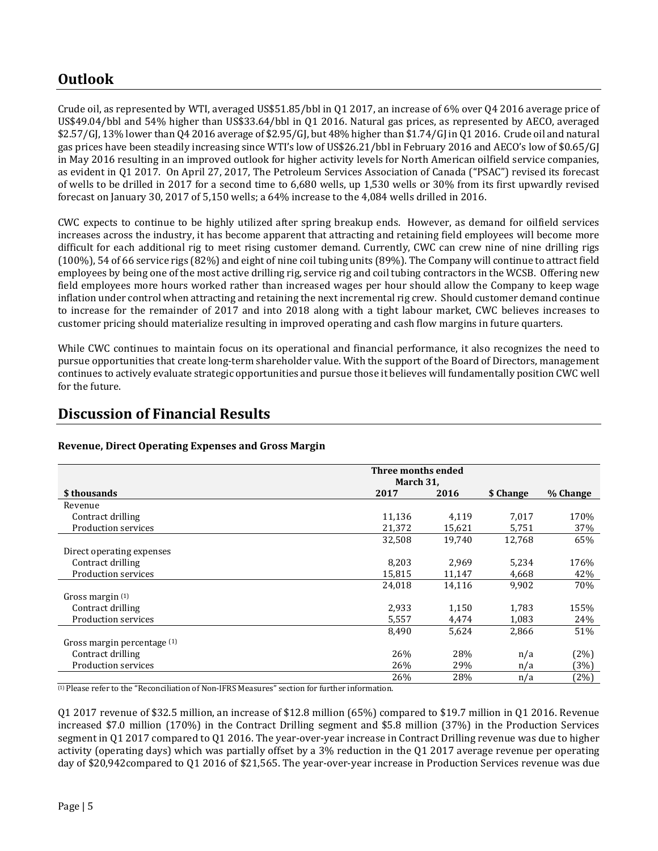# **Outlook**

Crude oil, as represented by WTI, averaged US\$51.85/bbl in Q1 2017, an increase of 6% over Q4 2016 average price of US\$49.04/bbl and 54% higher than US\$33.64/bbl in Q1 2016. Natural gas prices, as represented by AECO, averaged \$2.57/GJ, 13% lower than Q4 2016 average of \$2.95/GJ, but 48% higher than \$1.74/GJ in Q1 2016. Crude oil and natural gas prices have been steadily increasing since WTI's low of US\$26.21/bbl in February 2016 and AECO's low of \$0.65/GJ in May 2016 resulting in an improved outlook for higher activity levels for North American oilfield service companies, as evident in Q1 2017. On April 27, 2017, The Petroleum Services Association of Canada ("PSAC") revised its forecast of wells to be drilled in 2017 for a second time to 6,680 wells, up 1,530 wells or 30% from its first upwardly revised forecast on January 30, 2017 of 5,150 wells; a 64% increase to the 4,084 wells drilled in 2016.

CWC expects to continue to be highly utilized after spring breakup ends. However, as demand for oilfield services increases across the industry, it has become apparent that attracting and retaining field employees will become more difficult for each additional rig to meet rising customer demand. Currently, CWC can crew nine of nine drilling rigs (100%), 54 of 66 service rigs (82%) and eight of nine coil tubing units (89%). The Company will continue to attract field employees by being one of the most active drilling rig, service rig and coil tubing contractors in the WCSB. Offering new field employees more hours worked rather than increased wages per hour should allow the Company to keep wage inflation under control when attracting and retaining the next incremental rig crew. Should customer demand continue to increase for the remainder of 2017 and into 2018 along with a tight labour market, CWC believes increases to customer pricing should materialize resulting in improved operating and cash flow margins in future quarters.

While CWC continues to maintain focus on its operational and financial performance, it also recognizes the need to pursue opportunities that create long-term shareholder value. With the support of the Board of Directors, management continues to actively evaluate strategic opportunities and pursue those it believes will fundamentally position CWC well for the future.

| Three months ended<br>March 31, |        |        |           |          |
|---------------------------------|--------|--------|-----------|----------|
| \$thousands                     | 2017   | 2016   | \$ Change | % Change |
| Revenue                         |        |        |           |          |
| Contract drilling               | 11,136 | 4,119  | 7,017     | 170%     |
| Production services             | 21,372 | 15,621 | 5,751     | 37%      |
|                                 | 32,508 | 19,740 | 12,768    | 65%      |
| Direct operating expenses       |        |        |           |          |
| Contract drilling               | 8,203  | 2.969  | 5,234     | 176%     |
| Production services             | 15,815 | 11,147 | 4,668     | 42%      |
|                                 | 24,018 | 14,116 | 9,902     | 70%      |
| Gross margin $(1)$              |        |        |           |          |
| Contract drilling               | 2,933  | 1.150  | 1.783     | 155%     |
| Production services             | 5,557  | 4,474  | 1,083     | 24%      |
|                                 | 8,490  | 5,624  | 2,866     | 51%      |
| Gross margin percentage (1)     |        |        |           |          |
| Contract drilling               | 26%    | 28%    | n/a       | (2%)     |
| Production services             | 26%    | 29%    | n/a       | (3%)     |
|                                 | 26%    | 28%    | n/a       | (2%)     |

### **Discussion of Financial Results**

#### **Revenue, Direct Operating Expenses and Gross Margin**

(1) Please refer to the "Reconciliation of Non-IFRS Measures" section for further information.

Q1 2017 revenue of \$32.5 million, an increase of \$12.8 million (65%) compared to \$19.7 million in Q1 2016. Revenue increased \$7.0 million (170%) in the Contract Drilling segment and \$5.8 million (37%) in the Production Services segment in Q1 2017 compared to Q1 2016. The year-over-year increase in Contract Drilling revenue was due to higher activity (operating days) which was partially offset by a 3% reduction in the Q1 2017 average revenue per operating day of \$20,942compared to Q1 2016 of \$21,565. The year-over-year increase in Production Services revenue was due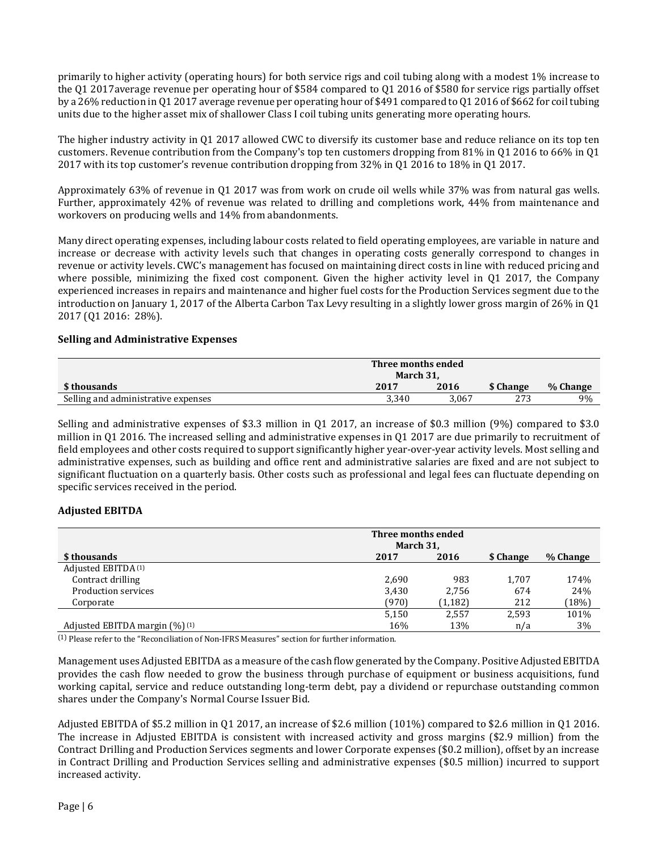primarily to higher activity (operating hours) for both service rigs and coil tubing along with a modest 1% increase to the Q1 2017average revenue per operating hour of \$584 compared to Q1 2016 of \$580 for service rigs partially offset by a 26% reduction in Q1 2017 average revenue per operating hour of \$491 compared to Q1 2016 of \$662 for coil tubing units due to the higher asset mix of shallower Class I coil tubing units generating more operating hours.

The higher industry activity in Q1 2017 allowed CWC to diversify its customer base and reduce reliance on its top ten customers. Revenue contribution from the Company's top ten customers dropping from 81% in Q1 2016 to 66% in Q1 2017 with its top customer's revenue contribution dropping from 32% in Q1 2016 to 18% in Q1 2017.

Approximately 63% of revenue in Q1 2017 was from work on crude oil wells while 37% was from natural gas wells. Further, approximately 42% of revenue was related to drilling and completions work, 44% from maintenance and workovers on producing wells and 14% from abandonments.

Many direct operating expenses, including labour costs related to field operating employees, are variable in nature and increase or decrease with activity levels such that changes in operating costs generally correspond to changes in revenue or activity levels. CWC's management has focused on maintaining direct costs in line with reduced pricing and where possible, minimizing the fixed cost component. Given the higher activity level in Q1 2017, the Company experienced increases in repairs and maintenance and higher fuel costs for the Production Services segment due to the introduction on January 1, 2017 of the Alberta Carbon Tax Levy resulting in a slightly lower gross margin of 26% in Q1 2017 (Q1 2016: 28%).

#### **Selling and Administrative Expenses**

|                                     | Three months ended<br>March 31, |       |           |          |  |
|-------------------------------------|---------------------------------|-------|-----------|----------|--|
| \$ thousands                        | 2017                            | 2016  | \$ Change | % Change |  |
| Selling and administrative expenses | 3.340                           | 3.067 | 273       | 9%       |  |

Selling and administrative expenses of \$3.3 million in Q1 2017, an increase of \$0.3 million (9%) compared to \$3.0 million in Q1 2016. The increased selling and administrative expenses in Q1 2017 are due primarily to recruitment of field employees and other costs required to support significantly higher year-over-year activity levels. Most selling and administrative expenses, such as building and office rent and administrative salaries are fixed and are not subject to significant fluctuation on a quarterly basis. Other costs such as professional and legal fees can fluctuate depending on specific services received in the period.

#### **Adjusted EBITDA**

|                                   | Three months ended |          |           |          |
|-----------------------------------|--------------------|----------|-----------|----------|
|                                   | March 31,          |          |           |          |
| \$ thousands                      | 2017               | 2016     | \$ Change | % Change |
| Adjusted EBITDA <sup>(1)</sup>    |                    |          |           |          |
| Contract drilling                 | 2,690              | 983      | 1.707     | 174%     |
| Production services               | 3,430              | 2,756    | 674       | 24%      |
| Corporate                         | (970)              | (1, 182) | 212       | $18\%)$  |
|                                   | 5,150              | 2,557    | 2.593     | 101%     |
| Adjusted EBITDA margin $(\%)$ (1) | 16%                | 13%      | n/a       | 3%       |

(1) Please refer to the "Reconciliation of Non-IFRS Measures" section for further information.

Management uses Adjusted EBITDA as a measure of the cash flow generated by the Company. Positive Adjusted EBITDA provides the cash flow needed to grow the business through purchase of equipment or business acquisitions, fund working capital, service and reduce outstanding long-term debt, pay a dividend or repurchase outstanding common shares under the Company's Normal Course Issuer Bid.

Adjusted EBITDA of \$5.2 million in Q1 2017, an increase of \$2.6 million (101%) compared to \$2.6 million in Q1 2016. The increase in Adjusted EBITDA is consistent with increased activity and gross margins (\$2.9 million) from the Contract Drilling and Production Services segments and lower Corporate expenses (\$0.2 million), offset by an increase in Contract Drilling and Production Services selling and administrative expenses (\$0.5 million) incurred to support increased activity.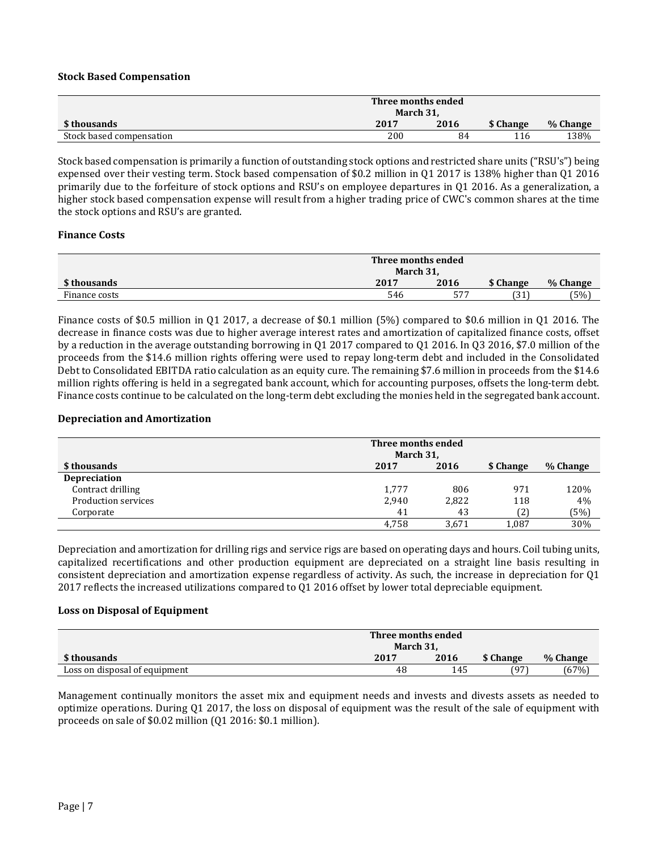#### **Stock Based Compensation**

|                          | Three months ended<br>March 31, |      |           |          |  |  |
|--------------------------|---------------------------------|------|-----------|----------|--|--|
| \$ thousands             | 2017                            | 2016 | \$ Change | % Change |  |  |
| Stock based compensation | 200                             | 84   | 116       | 138%     |  |  |

Stock based compensation is primarily a function of outstanding stock options and restricted share units ("RSU's") being expensed over their vesting term. Stock based compensation of \$0.2 million in Q1 2017 is 138% higher than Q1 2016 primarily due to the forfeiture of stock options and RSU's on employee departures in Q1 2016. As a generalization, a higher stock based compensation expense will result from a higher trading price of CWC's common shares at the time the stock options and RSU's are granted.

#### **Finance Costs**

|               | Three months ended |      |               |          |  |  |
|---------------|--------------------|------|---------------|----------|--|--|
|               | March 31,          |      |               |          |  |  |
| \$ thousands  | 2017               | 2016 | \$ Change     | % Change |  |  |
| Finance costs | 546                | ピワワ  | (21)<br>l J I | (5%)     |  |  |

Finance costs of \$0.5 million in Q1 2017, a decrease of \$0.1 million (5%) compared to \$0.6 million in Q1 2016. The decrease in finance costs was due to higher average interest rates and amortization of capitalized finance costs, offset by a reduction in the average outstanding borrowing in Q1 2017 compared to Q1 2016. In Q3 2016, \$7.0 million of the proceeds from the \$14.6 million rights offering were used to repay long-term debt and included in the Consolidated Debt to Consolidated EBITDA ratio calculation as an equity cure. The remaining \$7.6 million in proceeds from the \$14.6 million rights offering is held in a segregated bank account, which for accounting purposes, offsets the long-term debt. Finance costs continue to be calculated on the long-term debt excluding the monies held in the segregated bank account.

#### **Depreciation and Amortization**

|                     | Three months ended<br>March 31, |       |           |          |  |
|---------------------|---------------------------------|-------|-----------|----------|--|
| \$ thousands        | 2017                            | 2016  | \$ Change | % Change |  |
| <b>Depreciation</b> |                                 |       |           |          |  |
| Contract drilling   | 1.777                           | 806   | 971       | 120%     |  |
| Production services | 2,940                           | 2,822 | 118       | 4%       |  |
| Corporate           | 41                              | 43    | (2)       | (5%)     |  |
|                     | 4,758                           | 3,671 | 1,087     | 30%      |  |

Depreciation and amortization for drilling rigs and service rigs are based on operating days and hours. Coil tubing units, capitalized recertifications and other production equipment are depreciated on a straight line basis resulting in consistent depreciation and amortization expense regardless of activity. As such, the increase in depreciation for Q1 2017 reflects the increased utilizations compared to Q1 2016 offset by lower total depreciable equipment.

#### **Loss on Disposal of Equipment**

|                               | Three months ended<br>March 31. |      |           |          |  |  |
|-------------------------------|---------------------------------|------|-----------|----------|--|--|
| \$ thousands                  | 2017                            | 2016 | \$ Change | % Change |  |  |
| Loss on disposal of equipment | 48                              | 145  | (97       | (67%)    |  |  |

Management continually monitors the asset mix and equipment needs and invests and divests assets as needed to optimize operations. During Q1 2017, the loss on disposal of equipment was the result of the sale of equipment with proceeds on sale of \$0.02 million (Q1 2016: \$0.1 million).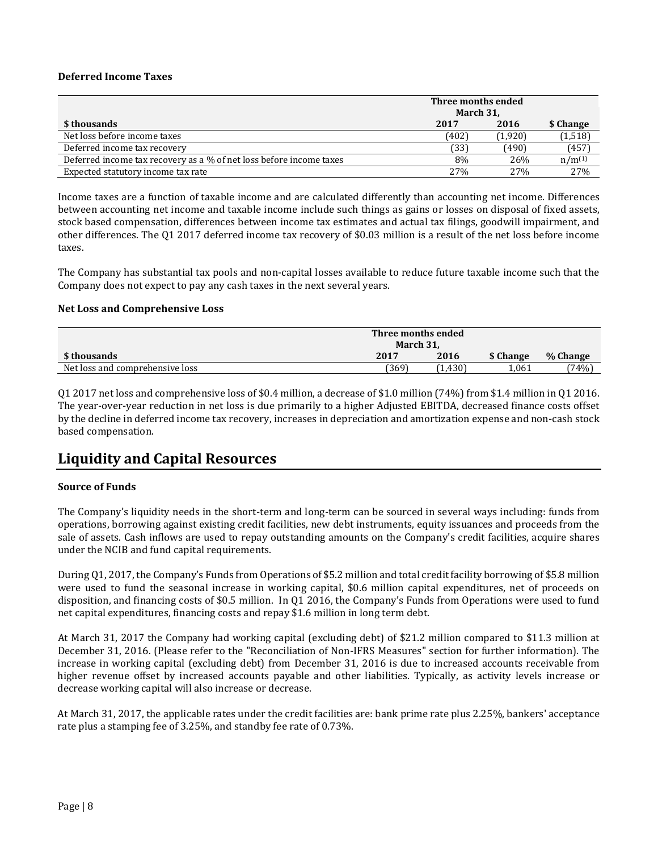#### **Deferred Income Taxes**

|                                                                     | Three months ended<br>March 31, |                 |             |  |
|---------------------------------------------------------------------|---------------------------------|-----------------|-------------|--|
| \$ thousands                                                        | 2017                            | 2016            | \$ Change   |  |
| Net loss before income taxes                                        | (402)                           | (1,920)         | (1, 518)    |  |
| Deferred income tax recovery                                        | (33)                            | (490)           | (457)       |  |
| Deferred income tax recovery as a % of net loss before income taxes | 8%                              | 26%             | $n/m^{(1)}$ |  |
| Expected statutory income tax rate                                  | 27%                             | 27 <sub>%</sub> | 27%         |  |

Income taxes are a function of taxable income and are calculated differently than accounting net income. Differences between accounting net income and taxable income include such things as gains or losses on disposal of fixed assets, stock based compensation, differences between income tax estimates and actual tax filings, goodwill impairment, and other differences. The Q1 2017 deferred income tax recovery of \$0.03 million is a result of the net loss before income taxes.

The Company has substantial tax pools and non-capital losses available to reduce future taxable income such that the Company does not expect to pay any cash taxes in the next several years.

#### **Net Loss and Comprehensive Loss**

|                                 | Three months ended<br>March 31. |        |           |          |  |  |
|---------------------------------|---------------------------------|--------|-----------|----------|--|--|
| \$ thousands                    | 2017                            | 2016   | \$ Change | % Change |  |  |
| Net loss and comprehensive loss | (369)                           | 1.430) | 1.061     | (74%)    |  |  |

Q1 2017 net loss and comprehensive loss of \$0.4 million, a decrease of \$1.0 million (74%) from \$1.4 million in Q1 2016. The year-over-year reduction in net loss is due primarily to a higher Adjusted EBITDA, decreased finance costs offset by the decline in deferred income tax recovery, increases in depreciation and amortization expense and non-cash stock based compensation.

## **Liquidity and Capital Resources**

#### **Source of Funds**

The Company's liquidity needs in the short-term and long-term can be sourced in several ways including: funds from operations, borrowing against existing credit facilities, new debt instruments, equity issuances and proceeds from the sale of assets. Cash inflows are used to repay outstanding amounts on the Company's credit facilities, acquire shares under the NCIB and fund capital requirements.

During Q1, 2017, the Company's Funds from Operations of \$5.2 million and total credit facility borrowing of \$5.8 million were used to fund the seasonal increase in working capital, \$0.6 million capital expenditures, net of proceeds on disposition, and financing costs of \$0.5 million. In Q1 2016, the Company's Funds from Operations were used to fund net capital expenditures, financing costs and repay \$1.6 million in long term debt.

At March 31, 2017 the Company had working capital (excluding debt) of \$21.2 million compared to \$11.3 million at December 31, 2016. (Please refer to the "Reconciliation of Non-IFRS Measures" section for further information). The increase in working capital (excluding debt) from December 31, 2016 is due to increased accounts receivable from higher revenue offset by increased accounts payable and other liabilities. Typically, as activity levels increase or decrease working capital will also increase or decrease.

At March 31, 2017, the applicable rates under the credit facilities are: bank prime rate plus 2.25%, bankers' acceptance rate plus a stamping fee of 3.25%, and standby fee rate of 0.73%.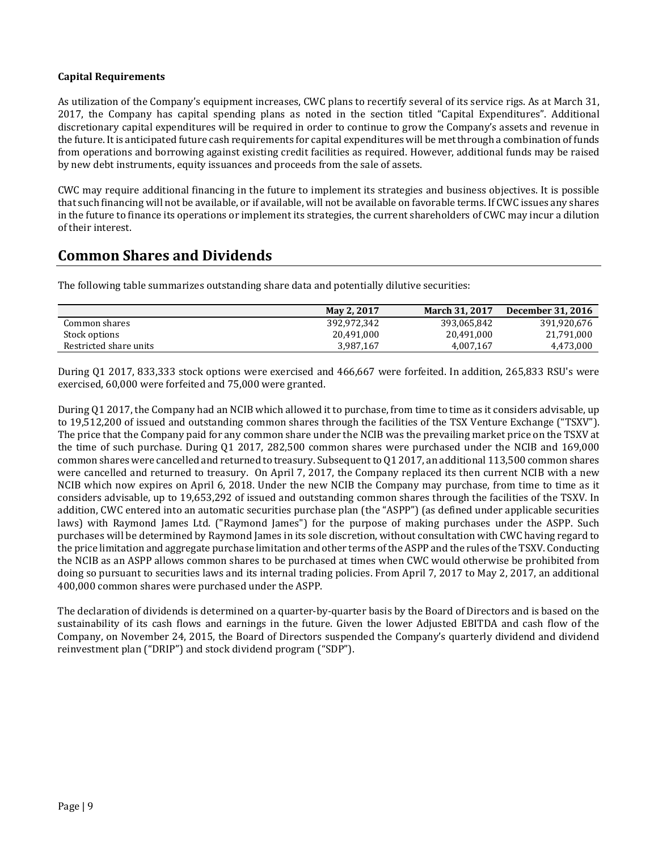#### **Capital Requirements**

As utilization of the Company's equipment increases, CWC plans to recertify several of its service rigs. As at March 31, 2017, the Company has capital spending plans as noted in the section titled "Capital Expenditures". Additional discretionary capital expenditures will be required in order to continue to grow the Company's assets and revenue in the future. It is anticipated future cash requirements for capital expenditures will be met through a combination of funds from operations and borrowing against existing credit facilities as required. However, additional funds may be raised by new debt instruments, equity issuances and proceeds from the sale of assets.

CWC may require additional financing in the future to implement its strategies and business objectives. It is possible that such financing will not be available, or if available, will not be available on favorable terms. If CWC issues any shares in the future to finance its operations or implement its strategies, the current shareholders of CWC may incur a dilution of their interest.

### **Common Shares and Dividends**

The following table summarizes outstanding share data and potentially dilutive securities:

|                        | May 2, 2017 | <b>March 31, 2017</b> | December 31, 2016 |
|------------------------|-------------|-----------------------|-------------------|
| Common shares          | 392.972.342 | 393.065.842           | 391.920.676       |
| Stock options          | 20,491,000  | 20,491,000            | 21,791,000        |
| Restricted share units | 3.987.167   | 4,007,167             | 4,473,000         |

During Q1 2017, 833,333 stock options were exercised and 466,667 were forfeited. In addition, 265,833 RSU's were exercised, 60,000 were forfeited and 75,000 were granted.

During Q1 2017, the Company had an NCIB which allowed it to purchase, from time to time as it considers advisable, up to 19,512,200 of issued and outstanding common shares through the facilities of the TSX Venture Exchange ("TSXV"). The price that the Company paid for any common share under the NCIB was the prevailing market price on the TSXV at the time of such purchase. During Q1 2017, 282,500 common shares were purchased under the NCIB and 169,000 common shares were cancelled and returned to treasury. Subsequent to Q1 2017, an additional 113,500 common shares were cancelled and returned to treasury. On April 7, 2017, the Company replaced its then current NCIB with a new NCIB which now expires on April 6, 2018. Under the new NCIB the Company may purchase, from time to time as it considers advisable, up to 19,653,292 of issued and outstanding common shares through the facilities of the TSXV. In addition, CWC entered into an automatic securities purchase plan (the "ASPP") (as defined under applicable securities laws) with Raymond James Ltd. ("Raymond James") for the purpose of making purchases under the ASPP. Such purchases will be determined by Raymond James in its sole discretion, without consultation with CWC having regard to the price limitation and aggregate purchase limitation and other terms of the ASPP and the rules of the TSXV. Conducting the NCIB as an ASPP allows common shares to be purchased at times when CWC would otherwise be prohibited from doing so pursuant to securities laws and its internal trading policies. From April 7, 2017 to May 2, 2017, an additional 400,000 common shares were purchased under the ASPP.

The declaration of dividends is determined on a quarter-by-quarter basis by the Board of Directors and is based on the sustainability of its cash flows and earnings in the future. Given the lower Adjusted EBITDA and cash flow of the Company, on November 24, 2015, the Board of Directors suspended the Company's quarterly dividend and dividend reinvestment plan ("DRIP") and stock dividend program ("SDP").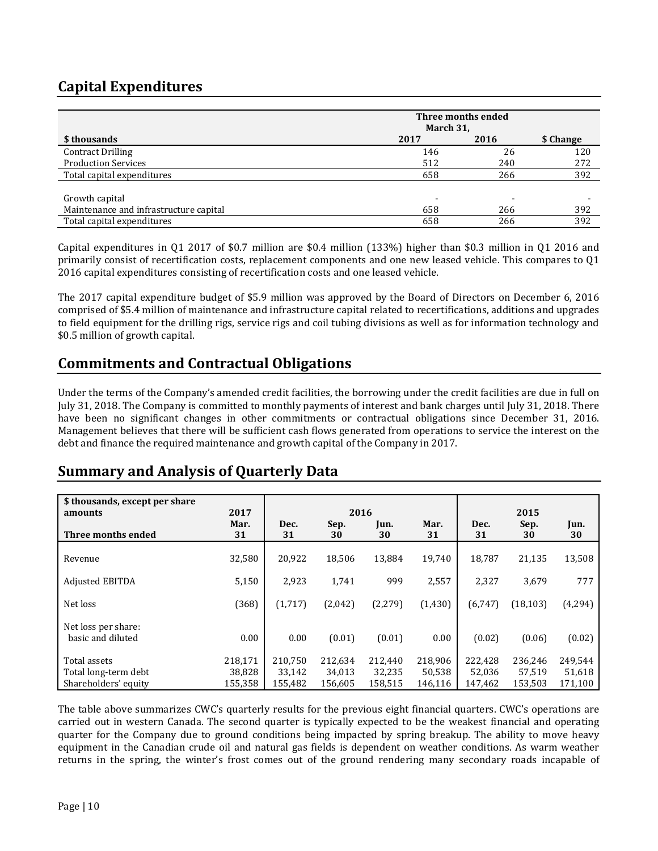# **Capital Expenditures**

|                                                          | Three months ended<br>March 31, |      |           |
|----------------------------------------------------------|---------------------------------|------|-----------|
| \$ thousands                                             | 2017                            | 2016 | \$ Change |
| <b>Contract Drilling</b>                                 | 146                             | 26   | 120       |
| <b>Production Services</b>                               | 512                             | 240  | 272       |
| Total capital expenditures                               | 658                             | 266  | 392       |
| Growth capital<br>Maintenance and infrastructure capital | 658                             | 266  | 392       |
| Total capital expenditures                               | 658                             | 266  | 392       |

Capital expenditures in Q1 2017 of \$0.7 million are \$0.4 million (133%) higher than \$0.3 million in Q1 2016 and primarily consist of recertification costs, replacement components and one new leased vehicle. This compares to Q1 2016 capital expenditures consisting of recertification costs and one leased vehicle.

The 2017 capital expenditure budget of \$5.9 million was approved by the Board of Directors on December 6, 2016 comprised of \$5.4 million of maintenance and infrastructure capital related to recertifications, additions and upgrades to field equipment for the drilling rigs, service rigs and coil tubing divisions as well as for information technology and \$0.5 million of growth capital.

## **Commitments and Contractual Obligations**

Under the terms of the Company's amended credit facilities, the borrowing under the credit facilities are due in full on July 31, 2018. The Company is committed to monthly payments of interest and bank charges until July 31, 2018. There have been no significant changes in other commitments or contractual obligations since December 31, 2016. Management believes that there will be sufficient cash flows generated from operations to service the interest on the debt and finance the required maintenance and growth capital of the Company in 2017.

## **Summary and Analysis of Quarterly Data**

| \$ thousands, except per share<br>amounts | 2017       |            | 2016       |            |            |            | 2015       |            |
|-------------------------------------------|------------|------------|------------|------------|------------|------------|------------|------------|
| Three months ended                        | Mar.<br>31 | Dec.<br>31 | Sep.<br>30 | Jun.<br>30 | Mar.<br>31 | Dec.<br>31 | Sep.<br>30 | Jun.<br>30 |
| Revenue                                   | 32,580     | 20,922     | 18,506     | 13,884     | 19,740     | 18,787     | 21,135     | 13,508     |
| <b>Adjusted EBITDA</b>                    | 5,150      | 2,923      | 1,741      | 999        | 2,557      | 2,327      | 3,679      | 777        |
| Net loss                                  | (368)      | (1,717)    | (2,042)    | (2, 279)   | (1,430)    | (6,747)    | (18, 103)  | (4, 294)   |
| Net loss per share:<br>basic and diluted  | 0.00       | 0.00       | (0.01)     | (0.01)     | 0.00       | (0.02)     | (0.06)     | (0.02)     |
| Total assets                              | 218,171    | 210.750    | 212,634    | 212,440    | 218,906    | 222,428    | 236,246    | 249,544    |
| Total long-term debt                      | 38,828     | 33,142     | 34,013     | 32,235     | 50,538     | 52,036     | 57,519     | 51,618     |
| Shareholders' equity                      | 155.358    | 155.482    | 156.605    | 158.515    | 146.116    | 147.462    | 153.503    | 171,100    |

The table above summarizes CWC's quarterly results for the previous eight financial quarters. CWC's operations are carried out in western Canada. The second quarter is typically expected to be the weakest financial and operating quarter for the Company due to ground conditions being impacted by spring breakup. The ability to move heavy equipment in the Canadian crude oil and natural gas fields is dependent on weather conditions. As warm weather returns in the spring, the winter's frost comes out of the ground rendering many secondary roads incapable of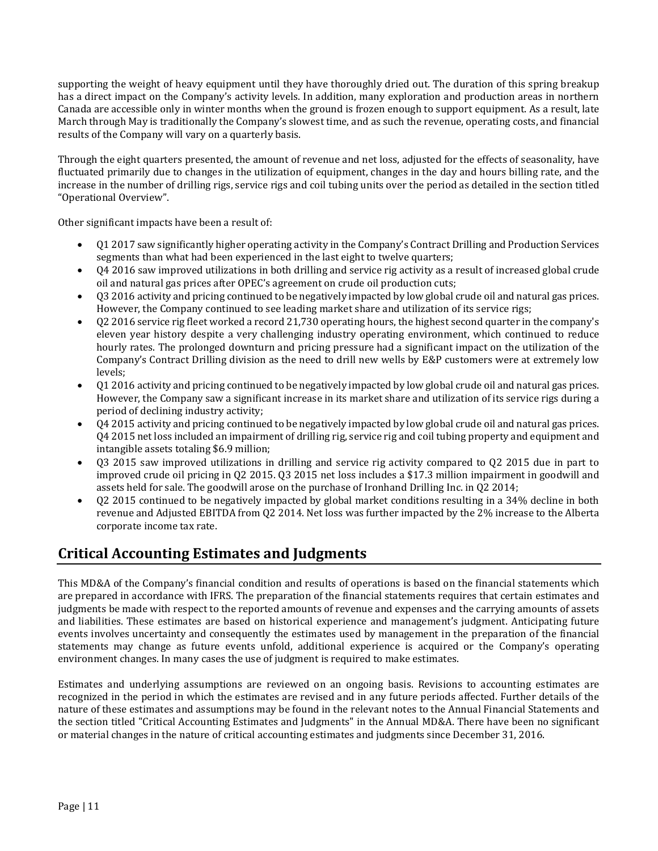supporting the weight of heavy equipment until they have thoroughly dried out. The duration of this spring breakup has a direct impact on the Company's activity levels. In addition, many exploration and production areas in northern Canada are accessible only in winter months when the ground is frozen enough to support equipment. As a result, late March through May is traditionally the Company's slowest time, and as such the revenue, operating costs, and financial results of the Company will vary on a quarterly basis.

Through the eight quarters presented, the amount of revenue and net loss, adjusted for the effects of seasonality, have fluctuated primarily due to changes in the utilization of equipment, changes in the day and hours billing rate, and the increase in the number of drilling rigs, service rigs and coil tubing units over the period as detailed in the section titled "Operational Overview".

Other significant impacts have been a result of:

- Q1 2017 saw significantly higher operating activity in the Company's Contract Drilling and Production Services segments than what had been experienced in the last eight to twelve quarters;
- Q4 2016 saw improved utilizations in both drilling and service rig activity as a result of increased global crude oil and natural gas prices after OPEC's agreement on crude oil production cuts;
- Q3 2016 activity and pricing continued to be negatively impacted by low global crude oil and natural gas prices. However, the Company continued to see leading market share and utilization of its service rigs;
- Q2 2016 service rig fleet worked a record 21,730 operating hours, the highest second quarter in the company's eleven year history despite a very challenging industry operating environment, which continued to reduce hourly rates. The prolonged downturn and pricing pressure had a significant impact on the utilization of the Company's Contract Drilling division as the need to drill new wells by E&P customers were at extremely low levels;
- Q1 2016 activity and pricing continued to be negatively impacted by low global crude oil and natural gas prices. However, the Company saw a significant increase in its market share and utilization of its service rigs during a period of declining industry activity;
- Q4 2015 activity and pricing continued to be negatively impacted by low global crude oil and natural gas prices. Q4 2015 net loss included an impairment of drilling rig, service rig and coil tubing property and equipment and intangible assets totaling \$6.9 million;
- Q3 2015 saw improved utilizations in drilling and service rig activity compared to Q2 2015 due in part to improved crude oil pricing in Q2 2015. Q3 2015 net loss includes a \$17.3 million impairment in goodwill and assets held for sale. The goodwill arose on the purchase of Ironhand Drilling Inc. in Q2 2014;
- Q2 2015 continued to be negatively impacted by global market conditions resulting in a 34% decline in both revenue and Adjusted EBITDA from Q2 2014. Net loss was further impacted by the 2% increase to the Alberta corporate income tax rate.

## **Critical Accounting Estimates and Judgments**

This MD&A of the Company's financial condition and results of operations is based on the financial statements which are prepared in accordance with IFRS. The preparation of the financial statements requires that certain estimates and judgments be made with respect to the reported amounts of revenue and expenses and the carrying amounts of assets and liabilities. These estimates are based on historical experience and management's judgment. Anticipating future events involves uncertainty and consequently the estimates used by management in the preparation of the financial statements may change as future events unfold, additional experience is acquired or the Company's operating environment changes. In many cases the use of judgment is required to make estimates.

Estimates and underlying assumptions are reviewed on an ongoing basis. Revisions to accounting estimates are recognized in the period in which the estimates are revised and in any future periods affected. Further details of the nature of these estimates and assumptions may be found in the relevant notes to the Annual Financial Statements and the section titled "Critical Accounting Estimates and Judgments" in the Annual MD&A. There have been no significant or material changes in the nature of critical accounting estimates and judgments since December 31, 2016.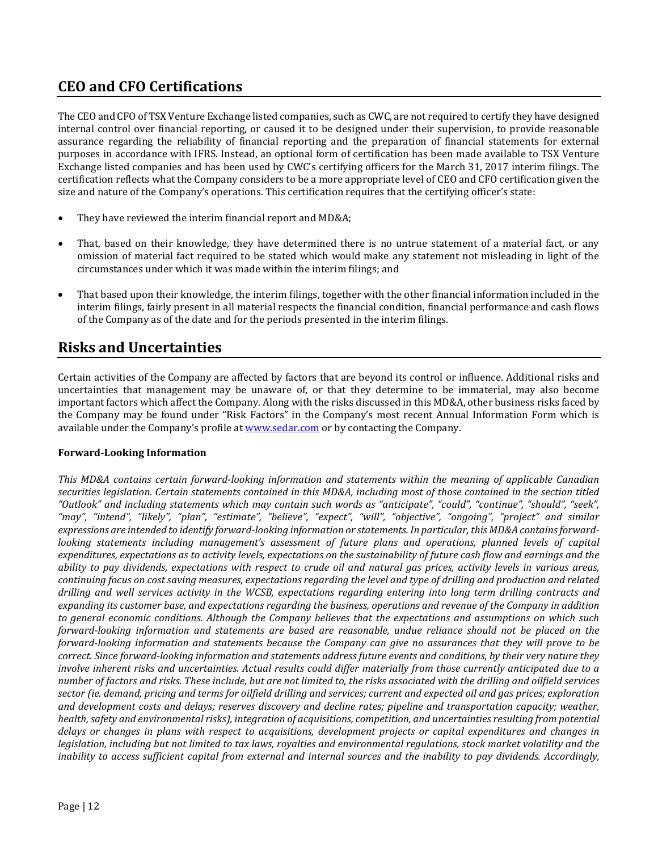# **CEO and CFO Certifications**

The CEO and CFO of TSX Venture Exchange listed companies, such as CWC, are not required to certify they have designed internal control over financial reporting, or caused it to be designed under their supervision, to provide reasonable assurance regarding the reliability of financial reporting and the preparation of financial statements for external purposes in accordance with IFRS. Instead, an optional form of certification has been made available to TSX Venture Exchange listed companies and has been used by CWC's certifying officers for the March 31, 2017 interim filings. The certification reflects what the Company considers to be a more appropriate level of CEO and CFO certification given the size and nature of the Company's operations. This certification requires that the certifying officer's state:

- They have reviewed the interim financial report and MD&A;
- That, based on their knowledge, they have determined there is no untrue statement of a material fact, or any omission of material fact required to be stated which would make any statement not misleading in light of the circumstances under which it was made within the interim filings; and
- That based upon their knowledge, the interim filings, together with the other financial information included in the interim filings, fairly present in all material respects the financial condition, financial performance and cash flows of the Company as of the date and for the periods presented in the interim filings.

### **Risks and Uncertainties**

Certain activities of the Company are affected by factors that are beyond its control or influence. Additional risks and uncertainties that management may be unaware of, or that they determine to be immaterial, may also become important factors which affect the Company. Along with the risks discussed in this MD&A, other business risks faced by the Company may be found under "Risk Factors" in the Company's most recent Annual Information Form which is available under the Company's profile a[t www.sedar.com](http://www.sedar.com/) or by contacting the Company.

#### **Forward-Looking Information**

*This MD&A contains certain forward-looking information and statements within the meaning of applicable Canadian securities legislation. Certain statements contained in this MD&A, including most of those contained in the section titled "Outlook" and including statements which may contain such words as "anticipate", "could", "continue", "should", "seek", "may", "intend", "likely", "plan", "estimate", "believe", "expect", "will", "objective", "ongoing", "project" and similar expressions are intended to identify forward-looking information or statements. In particular, this MD&A contains forwardlooking statements including management's assessment of future plans and operations, planned levels of capital expenditures, expectations as to activity levels, expectations on the sustainability of future cash flow and earnings and the ability to pay dividends, expectations with respect to crude oil and natural gas prices, activity levels in various areas, continuing focus on cost saving measures, expectations regarding the level and type of drilling and production and related drilling and well services activity in the WCSB, expectations regarding entering into long term drilling contracts and expanding its customer base, and expectations regarding the business, operations and revenue of the Company in addition to general economic conditions. Although the Company believes that the expectations and assumptions on which such forward-looking information and statements are based are reasonable, undue reliance should not be placed on the forward-looking information and statements because the Company can give no assurances that they will prove to be correct. Since forward-looking information and statements address future events and conditions, by their very nature they involve inherent risks and uncertainties. Actual results could differ materially from those currently anticipated due to a number of factors and risks. These include, but are not limited to, the risks associated with the drilling and oilfield services sector (ie. demand, pricing and terms for oilfield drilling and services; current and expected oil and gas prices; exploration and development costs and delays; reserves discovery and decline rates; pipeline and transportation capacity; weather, health, safety and environmental risks), integration of acquisitions, competition, and uncertainties resulting from potential delays or changes in plans with respect to acquisitions, development projects or capital expenditures and changes in legislation, including but not limited to tax laws, royalties and environmental regulations, stock market volatility and the inability to access sufficient capital from external and internal sources and the inability to pay dividends. Accordingly,*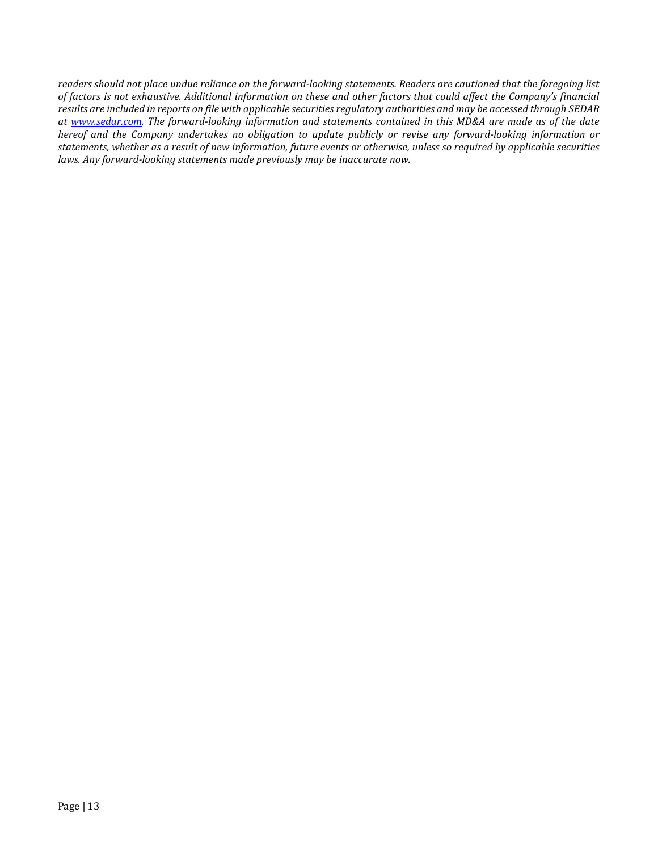*readers should not place undue reliance on the forward-looking statements. Readers are cautioned that the foregoing list of factors is not exhaustive. Additional information on these and other factors that could affect the Company's financial results are included in reports on file with applicable securities regulatory authorities and may be accessed through SEDAR at [www.sedar.com.](http://www.sedar.com/) The forward-looking information and statements contained in this MD&A are made as of the date hereof and the Company undertakes no obligation to update publicly or revise any forward-looking information or statements, whether as a result of new information, future events or otherwise, unless so required by applicable securities laws. Any forward-looking statements made previously may be inaccurate now.*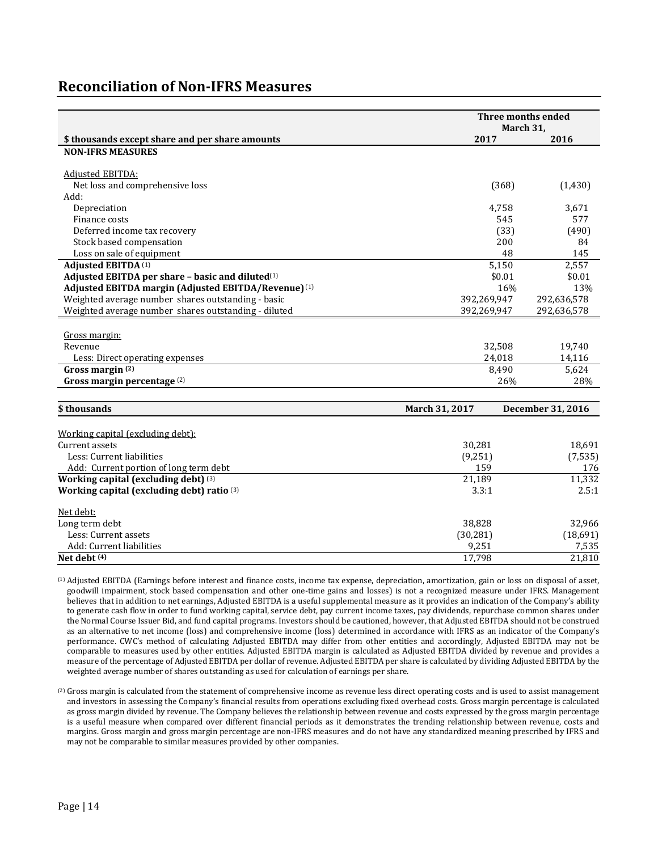### **Reconciliation of Non-IFRS Measures**

|                                                                                | Three months ended<br>March 31, |                    |  |  |
|--------------------------------------------------------------------------------|---------------------------------|--------------------|--|--|
| \$ thousands except share and per share amounts                                | 2017                            | 2016               |  |  |
| <b>NON-IFRS MEASURES</b>                                                       |                                 |                    |  |  |
| Adjusted EBITDA:                                                               |                                 |                    |  |  |
| Net loss and comprehensive loss                                                | (368)                           | (1,430)            |  |  |
| Add:                                                                           |                                 |                    |  |  |
| Depreciation                                                                   | 4,758                           | 3,671              |  |  |
| Finance costs                                                                  | 545                             | 577                |  |  |
| Deferred income tax recovery                                                   | (33)                            | (490)              |  |  |
| Stock based compensation                                                       | 200                             | 84                 |  |  |
| Loss on sale of equipment                                                      | 48                              | 145                |  |  |
| <b>Adjusted EBITDA (1)</b>                                                     | 5,150                           | 2,557              |  |  |
| Adjusted EBITDA per share - basic and diluted <sup>(1)</sup>                   | \$0.01                          | \$0.01             |  |  |
| Adjusted EBITDA margin (Adjusted EBITDA/Revenue) <sup>(1)</sup>                | 16%                             | 13%                |  |  |
| Weighted average number shares outstanding - basic                             | 392,269,947                     | 292,636,578        |  |  |
| Weighted average number shares outstanding - diluted                           | 392,269,947                     | 292,636,578        |  |  |
|                                                                                |                                 |                    |  |  |
| Gross margin:                                                                  |                                 |                    |  |  |
| Revenue                                                                        | 32,508                          | 19,740             |  |  |
| Less: Direct operating expenses                                                | 24,018                          | 14,116             |  |  |
| Gross margin $\overline{^{(2)}}$                                               | 8,490                           | 5,624              |  |  |
| Gross margin percentage <sup>(2)</sup>                                         | 26%                             | 28%                |  |  |
|                                                                                |                                 |                    |  |  |
| \$thousands                                                                    | March 31, 2017                  | December 31, 2016  |  |  |
|                                                                                |                                 |                    |  |  |
| Working capital (excluding debt):<br>Current assets                            |                                 |                    |  |  |
| Less: Current liabilities                                                      | 30,281<br>(9,251)               | 18,691<br>(7, 535) |  |  |
|                                                                                | 159                             | 176                |  |  |
| Add: Current portion of long term debt<br>Working capital (excluding debt) (3) | 21,189                          | 11,332             |  |  |
| Working capital (excluding debt) ratio <sup>(3)</sup>                          | 3.3:1                           | 2.5:1              |  |  |
|                                                                                |                                 |                    |  |  |
| Net debt:                                                                      |                                 |                    |  |  |
| Long term debt                                                                 | 38,828                          | 32,966             |  |  |
| Less: Current assets                                                           | (30, 281)                       | (18,691)           |  |  |
| Add: Current liabilities                                                       | 9,251                           | 7,535              |  |  |
| Net debt (4)                                                                   | 17,798                          | 21,810             |  |  |

(1) Adjusted EBITDA (Earnings before interest and finance costs, income tax expense, depreciation, amortization, gain or loss on disposal of asset, goodwill impairment, stock based compensation and other one-time gains and losses) is not a recognized measure under IFRS. Management believes that in addition to net earnings, Adjusted EBITDA is a useful supplemental measure as it provides an indication of the Company's ability to generate cash flow in order to fund working capital, service debt, pay current income taxes, pay dividends, repurchase common shares under the Normal Course Issuer Bid, and fund capital programs. Investors should be cautioned, however, that Adjusted EBITDA should not be construed as an alternative to net income (loss) and comprehensive income (loss) determined in accordance with IFRS as an indicator of the Company's performance. CWC's method of calculating Adjusted EBITDA may differ from other entities and accordingly, Adjusted EBITDA may not be comparable to measures used by other entities. Adjusted EBITDA margin is calculated as Adjusted EBITDA divided by revenue and provides a measure of the percentage of Adjusted EBITDA per dollar of revenue. Adjusted EBITDA per share is calculated by dividing Adjusted EBITDA by the weighted average number of shares outstanding as used for calculation of earnings per share.

(2) Gross margin is calculated from the statement of comprehensive income as revenue less direct operating costs and is used to assist management and investors in assessing the Company's financial results from operations excluding fixed overhead costs. Gross margin percentage is calculated as gross margin divided by revenue. The Company believes the relationship between revenue and costs expressed by the gross margin percentage is a useful measure when compared over different financial periods as it demonstrates the trending relationship between revenue, costs and margins. Gross margin and gross margin percentage are non-IFRS measures and do not have any standardized meaning prescribed by IFRS and may not be comparable to similar measures provided by other companies.